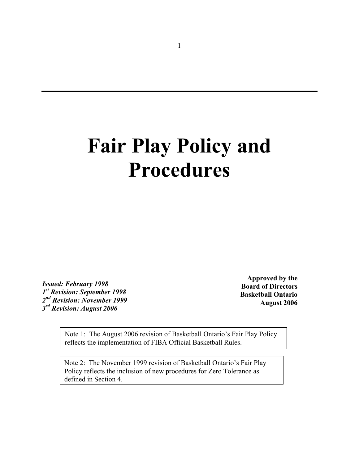# **Fair Play Policy and Procedures**

*Issued: February 1998 1st Revision: September 1998 2nd Revision: November 1999 3rd Revision: August 2006* 

**Approved by the Board of Directors Basketball Ontario August 2006** 

 reflects the implementation of FIBA Official Basketball Rules. Note 1: The August 2006 revision of Basketball Ontario's Fair Play Policy

Note 2: The November 1999 revision of Basketball Ontario's Fair Play Policy reflects the inclusion of new procedures for Zero Tolerance as defined in Section 4.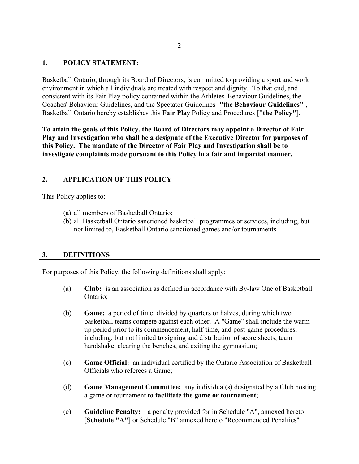## **1. POLICY STATEMENT:**

Basketball Ontario, through its Board of Directors, is committed to providing a sport and work environment in which all individuals are treated with respect and dignity. To that end, and consistent with its Fair Play policy contained within the Athletes' Behaviour Guidelines, the Coaches' Behaviour Guidelines, and the Spectator Guidelines [**"the Behaviour Guidelines"**], Basketball Ontario hereby establishes this **Fair Play** Policy and Procedures [**"the Policy"**].

**To attain the goals of this Policy, the Board of Directors may appoint a Director of Fair Play and Investigation who shall be a designate of the Executive Director for purposes of this Policy. The mandate of the Director of Fair Play and Investigation shall be to investigate complaints made pursuant to this Policy in a fair and impartial manner.** 

## **2. APPLICATION OF THIS POLICY**

This Policy applies to:

- (a) all members of Basketball Ontario;
- (b) all Basketball Ontario sanctioned basketball programmes or services, including, but not limited to, Basketball Ontario sanctioned games and/or tournaments.

#### **3. DEFINITIONS**

For purposes of this Policy, the following definitions shall apply:

- (a) **Club:** is an association as defined in accordance with By-law One of Basketball Ontario;
- (b) **Game:** a period of time, divided by quarters or halves, during which two basketball teams compete against each other. A "Game" shall include the warmup period prior to its commencement, half-time, and post-game procedures, including, but not limited to signing and distribution of score sheets, team handshake, clearing the benches, and exiting the gymnasium;
- (c) **Game Official:** an individual certified by the Ontario Association of Basketball Officials who referees a Game;
- (d) **Game Management Committee:** any individual(s) designated by a Club hosting a game or tournament **to facilitate the game or tournament**;
- (e) **Guideline Penalty:** a penalty provided for in Schedule "A", annexed hereto [**Schedule "A"**] or Schedule "B" annexed hereto "Recommended Penalties"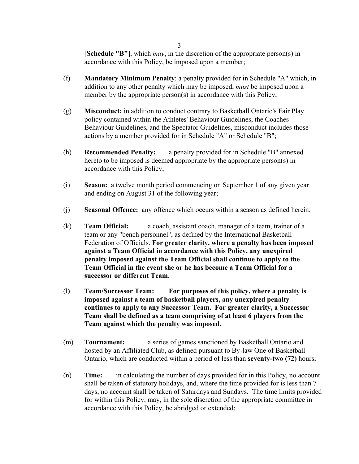[**Schedule "B"**], which *may*, in the discretion of the appropriate person(s) in accordance with this Policy, be imposed upon a member;

- (f) **Mandatory Minimum Penalty**: a penalty provided for in Schedule "A" which, in addition to any other penalty which may be imposed, *must* be imposed upon a member by the appropriate person(s) in accordance with this Policy;
- (g) **Misconduct:** in addition to conduct contrary to Basketball Ontario's Fair Play policy contained within the Athletes' Behaviour Guidelines, the Coaches Behaviour Guidelines, and the Spectator Guidelines, misconduct includes those actions by a member provided for in Schedule "A" or Schedule "B";
- (h) **Recommended Penalty:** a penalty provided for in Schedule "B" annexed hereto to be imposed is deemed appropriate by the appropriate person(s) in accordance with this Policy;
- (i) **Season:** a twelve month period commencing on September 1 of any given year and ending on August 31 of the following year;
- (j) **Seasonal Offence:** any offence which occurs within a season as defined herein;
- (k) **Team Official:** a coach, assistant coach, manager of a team, trainer of a team or any "bench personnel", as defined by the International Basketball Federation of Officials. **For greater clarity, where a penalty has been imposed against a Team Official in accordance with this Policy, any unexpired penalty imposed against the Team Official shall continue to apply to the Team Official in the event she or he has become a Team Official for a successor or different Team**;
- (l**) Team/Successor Team: For purposes of this policy, where a penalty is imposed against a team of basketball players, any unexpired penalty continues to apply to any Successor Team. For greater clarity, a Successor Team shall be defined as a team comprising of at least 6 players from the Team against which the penalty was imposed.**
- (m) **Tournament:** a series of games sanctioned by Basketball Ontario and hosted by an Affiliated Club, as defined pursuant to By-law One of Basketball Ontario, which are conducted within a period of less than **seventy-two (72)** hours;
- (n) **Time:** in calculating the number of days provided for in this Policy, no account shall be taken of statutory holidays, and, where the time provided for is less than 7 days, no account shall be taken of Saturdays and Sundays. The time limits provided for within this Policy, may, in the sole discretion of the appropriate committee in accordance with this Policy, be abridged or extended;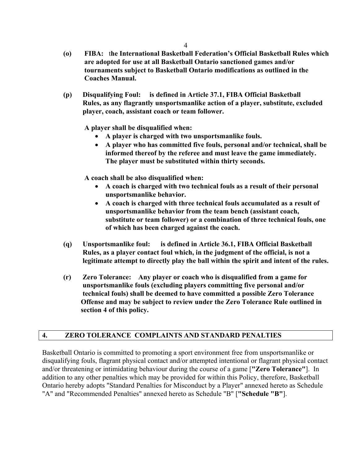- **(o) FIBA:** t**he International Basketball Federation's Official Basketball Rules which are adopted for use at all Basketball Ontario sanctioned games and/or tournaments subject to Basketball Ontario modifications as outlined in the Coaches Manual.**
- **(p) Disqualifying Foul: is defined in Article 37.1, FIBA Official Basketball Rules, as any flagrantly unsportsmanlike action of a player, substitute, excluded player, coach, assistant coach or team follower.**

 **A player shall be disqualified when:** 

- **A player is charged with two unsportsmanlike fouls.**
- **A player who has committed five fouls, personal and/or technical, shall be informed thereof by the referee and must leave the game immediately. The player must be substituted within thirty seconds.**

**A coach shall be also disqualified when:** 

- **A coach is charged with two technical fouls as a result of their personal unsportsmanlike behavior.**
- **A coach is charged with three technical fouls accumulated as a result of unsportsmanlike behavior from the team bench (assistant coach, substitute or team follower) or a combination of three technical fouls, one of which has been charged against the coach.**
- **(q) Unsportsmanlike foul: is defined in Article 36.1, FIBA Official Basketball Rules, as a player contact foul which, in the judgment of the official, is not a legitimate attempt to directly play the ball within the spirit and intent of the rules.**
- **(r) Zero Tolerance: Any player or coach who is disqualified from a game for unsportsmanlike fouls (excluding players committing five personal and/or technical fouls) shall be deemed to have committed a possible Zero Tolerance Offense and may be subject to review under the Zero Tolerance Rule outlined in section 4 of this policy.**

# **4. ZERO TOLERANCE COMPLAINTS AND STANDARD PENALTIES**

Basketball Ontario is committed to promoting a sport environment free from unsportsmanlike or disqualifying fouls, flagrant physical contact and/or attempted intentional or flagrant physical contact and/or threatening or intimidating behaviour during the course of a game [**"Zero Tolerance"**]. In addition to any other penalties which may be provided for within this Policy, therefore, Basketball Ontario hereby adopts "Standard Penalties for Misconduct by a Player" annexed hereto as Schedule "A" and "Recommended Penalties" annexed hereto as Schedule "B" [**"Schedule "B"**].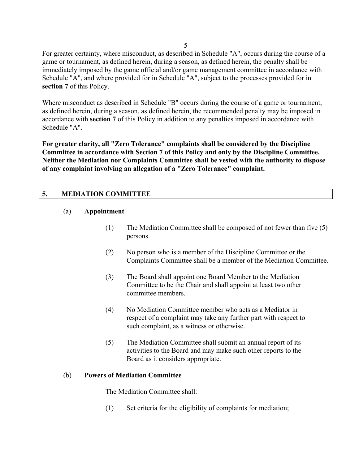For greater certainty, where misconduct, as described in Schedule "A", occurs during the course of a game or tournament, as defined herein, during a season, as defined herein, the penalty shall be immediately imposed by the game official and/or game management committee in accordance with Schedule "A", and where provided for in Schedule "A", subject to the processes provided for in **section 7** of this Policy.

Where misconduct as described in Schedule "B" occurs during the course of a game or tournament, as defined herein, during a season, as defined herein, the recommended penalty may be imposed in accordance with **section 7** of this Policy in addition to any penalties imposed in accordance with Schedule "A".

**For greater clarity, all "Zero Tolerance" complaints shall be considered by the Discipline Committee in accordance with Section 7 of this Policy and only by the Discipline Committee. Neither the Mediation nor Complaints Committee shall be vested with the authority to dispose of any complaint involving an allegation of a "Zero Tolerance" complaint.** 

# **5. MEDIATION COMMITTEE**

#### (a) **Appointment**

- (1) The Mediation Committee shall be composed of not fewer than five (5) persons.
- (2) No person who is a member of the Discipline Committee or the Complaints Committee shall be a member of the Mediation Committee.
- (3) The Board shall appoint one Board Member to the Mediation Committee to be the Chair and shall appoint at least two other committee members.
- (4) No Mediation Committee member who acts as a Mediator in respect of a complaint may take any further part with respect to such complaint, as a witness or otherwise.
- (5) The Mediation Committee shall submit an annual report of its activities to the Board and may make such other reports to the Board as it considers appropriate.

## (b) **Powers of Mediation Committee**

The Mediation Committee shall:

(1) Set criteria for the eligibility of complaints for mediation;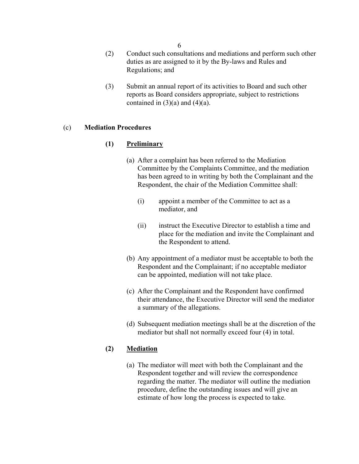6

- (2) Conduct such consultations and mediations and perform such other duties as are assigned to it by the By-laws and Rules and Regulations; and
- (3) Submit an annual report of its activities to Board and such other reports as Board considers appropriate, subject to restrictions contained in  $(3)(a)$  and  $(4)(a)$ .

#### (c) **Mediation Procedures**

#### **(1) Preliminary**

- (a) After a complaint has been referred to the Mediation Committee by the Complaints Committee, and the mediation has been agreed to in writing by both the Complainant and the Respondent, the chair of the Mediation Committee shall:
	- (i) appoint a member of the Committee to act as a mediator, and
	- (ii) instruct the Executive Director to establish a time and place for the mediation and invite the Complainant and the Respondent to attend.
- (b) Any appointment of a mediator must be acceptable to both the Respondent and the Complainant; if no acceptable mediator can be appointed, mediation will not take place.
- (c) After the Complainant and the Respondent have confirmed their attendance, the Executive Director will send the mediator a summary of the allegations.
- (d) Subsequent mediation meetings shall be at the discretion of the mediator but shall not normally exceed four (4) in total.

## **(2) Mediation**

(a) The mediator will meet with both the Complainant and the Respondent together and will review the correspondence regarding the matter. The mediator will outline the mediation procedure, define the outstanding issues and will give an estimate of how long the process is expected to take.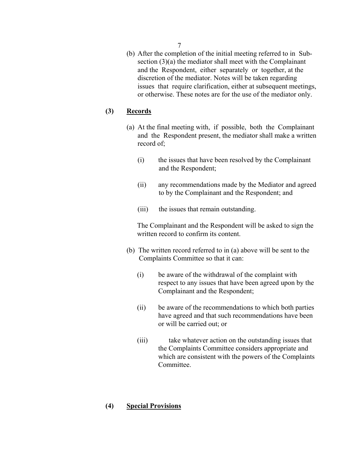(b) After the completion of the initial meeting referred to in Subsection (3)(a) the mediator shall meet with the Complainant and the Respondent, either separately or together, at the discretion of the mediator. Notes will be taken regarding issues that require clarification, either at subsequent meetings, or otherwise. These notes are for the use of the mediator only.

## **(3) Records**

- (a) At the final meeting with, if possible, both the Complainant and the Respondent present, the mediator shall make a written record of;
	- (i) the issues that have been resolved by the Complainant and the Respondent;
	- (ii) any recommendations made by the Mediator and agreed to by the Complainant and the Respondent; and
	- (iii) the issues that remain outstanding.

 The Complainant and the Respondent will be asked to sign the written record to confirm its content.

- (b) The written record referred to in (a) above will be sent to the Complaints Committee so that it can:
	- (i) be aware of the withdrawal of the complaint with respect to any issues that have been agreed upon by the Complainant and the Respondent;
	- (ii) be aware of the recommendations to which both parties have agreed and that such recommendations have been or will be carried out; or
	- (iii) take whatever action on the outstanding issues that the Complaints Committee considers appropriate and which are consistent with the powers of the Complaints Committee.

#### **(4) Special Provisions**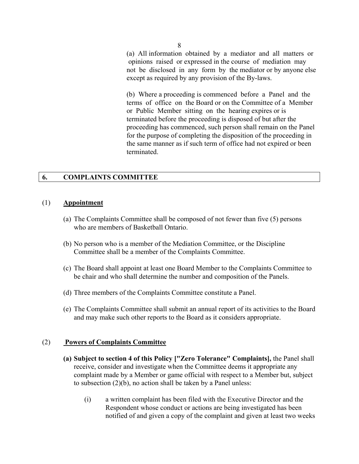(a) All information obtained by a mediator and all matters or opinions raised or expressed in the course of mediation may not be disclosed in any form by the mediator or by anyone else except as required by any provision of the By-laws.

(b) Where a proceeding is commenced before a Panel and the terms of office on the Board or on the Committee of a Member or Public Member sitting on the hearing expires or is terminated before the proceeding is disposed of but after the proceeding has commenced, such person shall remain on the Panel for the purpose of completing the disposition of the proceeding in the same manner as if such term of office had not expired or been terminated.

## **6. COMPLAINTS COMMITTEE**

#### (1) **Appointment**

- (a) The Complaints Committee shall be composed of not fewer than five (5) persons who are members of Basketball Ontario.
- (b) No person who is a member of the Mediation Committee, or the Discipline Committee shall be a member of the Complaints Committee.
- (c) The Board shall appoint at least one Board Member to the Complaints Committee to be chair and who shall determine the number and composition of the Panels.
- (d) Three members of the Complaints Committee constitute a Panel.
- (e) The Complaints Committee shall submit an annual report of its activities to the Board and may make such other reports to the Board as it considers appropriate.

#### (2) **Powers of Complaints Committee**

- **(a) Subject to section 4 of this Policy ["Zero Tolerance" Complaints],** the Panel shall receive, consider and investigate when the Committee deems it appropriate any complaint made by a Member or game official with respect to a Member but, subject to subsection (2)(b), no action shall be taken by a Panel unless:
	- (i) a written complaint has been filed with the Executive Director and the Respondent whose conduct or actions are being investigated has been notified of and given a copy of the complaint and given at least two weeks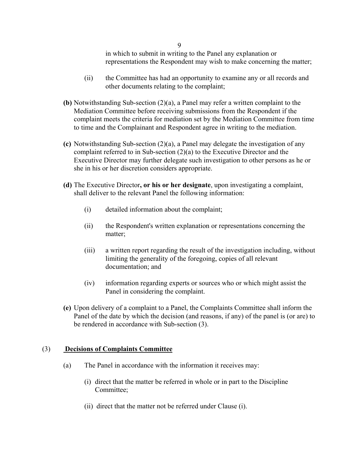in which to submit in writing to the Panel any explanation or representations the Respondent may wish to make concerning the matter;

- (ii) the Committee has had an opportunity to examine any or all records and other documents relating to the complaint;
- **(b)** Notwithstanding Sub-section (2)(a), a Panel may refer a written complaint to the Mediation Committee before receiving submissions from the Respondent if the complaint meets the criteria for mediation set by the Mediation Committee from time to time and the Complainant and Respondent agree in writing to the mediation.
- **(c)** Notwithstanding Sub-section (2)(a), a Panel may delegate the investigation of any complaint referred to in Sub-section (2)(a) to the Executive Director and the Executive Director may further delegate such investigation to other persons as he or she in his or her discretion considers appropriate.
- **(d)** The Executive Director**, or his or her designate**, upon investigating a complaint, shall deliver to the relevant Panel the following information:
	- (i) detailed information about the complaint;
	- (ii) the Respondent's written explanation or representations concerning the matter;
	- (iii) a written report regarding the result of the investigation including, without limiting the generality of the foregoing, copies of all relevant documentation; and
	- (iv) information regarding experts or sources who or which might assist the Panel in considering the complaint.
- **(e)** Upon delivery of a complaint to a Panel, the Complaints Committee shall inform the Panel of the date by which the decision (and reasons, if any) of the panel is (or are) to be rendered in accordance with Sub-section (3).

# (3) **Decisions of Complaints Committee**

- (a) The Panel in accordance with the information it receives may:
	- (i) direct that the matter be referred in whole or in part to the Discipline Committee;
	- (ii) direct that the matter not be referred under Clause (i).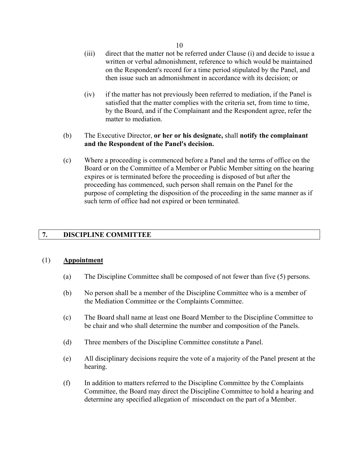- (iii) direct that the matter not be referred under Clause (i) and decide to issue a written or verbal admonishment, reference to which would be maintained on the Respondent's record for a time period stipulated by the Panel, and then issue such an admonishment in accordance with its decision; or
- (iv) if the matter has not previously been referred to mediation, if the Panel is satisfied that the matter complies with the criteria set, from time to time, by the Board, and if the Complainant and the Respondent agree, refer the matter to mediation.
- (b) The Executive Director, **or her or his designate,** shall **notify the complainant and the Respondent of the Panel's decision.**
- (c) Where a proceeding is commenced before a Panel and the terms of office on the Board or on the Committee of a Member or Public Member sitting on the hearing expires or is terminated before the proceeding is disposed of but after the proceeding has commenced, such person shall remain on the Panel for the purpose of completing the disposition of the proceeding in the same manner as if such term of office had not expired or been terminated.

## **7. DISCIPLINE COMMITTEE**

#### (1) **Appointment**

- (a) The Discipline Committee shall be composed of not fewer than five (5) persons.
- (b) No person shall be a member of the Discipline Committee who is a member of the Mediation Committee or the Complaints Committee.
- (c) The Board shall name at least one Board Member to the Discipline Committee to be chair and who shall determine the number and composition of the Panels.
- (d) Three members of the Discipline Committee constitute a Panel.
- (e) All disciplinary decisions require the vote of a majority of the Panel present at the hearing.
- (f) In addition to matters referred to the Discipline Committee by the Complaints Committee, the Board may direct the Discipline Committee to hold a hearing and determine any specified allegation of misconduct on the part of a Member.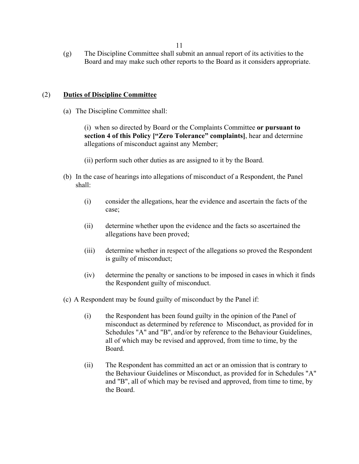(g) The Discipline Committee shall submit an annual report of its activities to the Board and may make such other reports to the Board as it considers appropriate.

## (2) **Duties of Discipline Committee**

(a) The Discipline Committee shall:

(i) when so directed by Board or the Complaints Committee **or pursuant to section 4 of this Policy ["Zero Tolerance" complaints]**, hear and determine allegations of misconduct against any Member;

(ii) perform such other duties as are assigned to it by the Board.

- (b) In the case of hearings into allegations of misconduct of a Respondent, the Panel shall:
	- (i) consider the allegations, hear the evidence and ascertain the facts of the case;
	- (ii) determine whether upon the evidence and the facts so ascertained the allegations have been proved;
	- (iii) determine whether in respect of the allegations so proved the Respondent is guilty of misconduct;
	- (iv) determine the penalty or sanctions to be imposed in cases in which it finds the Respondent guilty of misconduct.
- (c) A Respondent may be found guilty of misconduct by the Panel if:
	- (i) the Respondent has been found guilty in the opinion of the Panel of misconduct as determined by reference to Misconduct, as provided for in Schedules "A" and "B", and/or by reference to the Behaviour Guidelines, all of which may be revised and approved, from time to time, by the Board.
	- (ii) The Respondent has committed an act or an omission that is contrary to the Behaviour Guidelines or Misconduct, as provided for in Schedules "A" and "B", all of which may be revised and approved, from time to time, by the Board.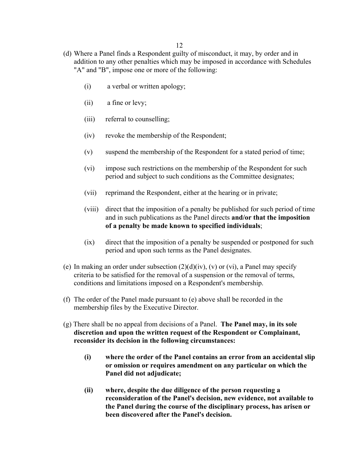- (d) Where a Panel finds a Respondent guilty of misconduct, it may, by order and in addition to any other penalties which may be imposed in accordance with Schedules "A" and "B", impose one or more of the following:
	- (i) a verbal or written apology;
	- (ii) a fine or levy;
	- (iii) referral to counselling;
	- (iv) revoke the membership of the Respondent;
	- (v) suspend the membership of the Respondent for a stated period of time;
	- (vi) impose such restrictions on the membership of the Respondent for such period and subject to such conditions as the Committee designates;
	- (vii) reprimand the Respondent, either at the hearing or in private;
	- (viii) direct that the imposition of a penalty be published for such period of time and in such publications as the Panel directs **and/or that the imposition of a penalty be made known to specified individuals**;
	- (ix) direct that the imposition of a penalty be suspended or postponed for such period and upon such terms as the Panel designates.
- (e) In making an order under subsection  $(2)(d)(iv)$ ,  $(v)$  or  $(vi)$ , a Panel may specify criteria to be satisfied for the removal of a suspension or the removal of terms, conditions and limitations imposed on a Respondent's membership.
- (f) The order of the Panel made pursuant to (e) above shall be recorded in the membership files by the Executive Director.
- (g) There shall be no appeal from decisions of a Panel. **The Panel may, in its sole discretion and upon the written request of the Respondent or Complainant, reconsider its decision in the following circumstances:** 
	- **(i) where the order of the Panel contains an error from an accidental slip or omission or requires amendment on any particular on which the Panel did not adjudicate;**
	- **(ii) where, despite the due diligence of the person requesting a reconsideration of the Panel's decision, new evidence, not available to the Panel during the course of the disciplinary process, has arisen or been discovered after the Panel's decision.**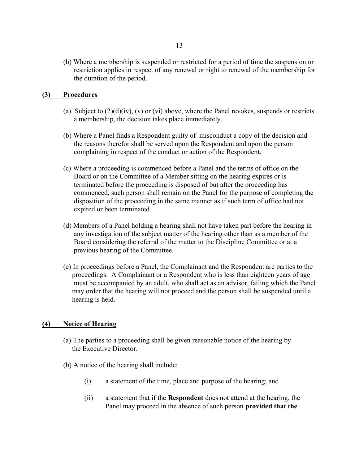(h) Where a membership is suspended or restricted for a period of time the suspension or restriction applies in respect of any renewal or right to renewal of the membership for the duration of the period.

#### **(3) Procedures**

- (a) Subject to  $(2)(d)(iv)$ ,  $(v)$  or  $(vi)$  above, where the Panel revokes, suspends or restricts a membership, the decision takes place immediately.
- (b) Where a Panel finds a Respondent guilty of misconduct a copy of the decision and the reasons therefor shall be served upon the Respondent and upon the person complaining in respect of the conduct or action of the Respondent.
- (c) Where a proceeding is commenced before a Panel and the terms of office on the Board or on the Committee of a Member sitting on the hearing expires or is terminated before the proceeding is disposed of but after the proceeding has commenced, such person shall remain on the Panel for the purpose of completing the disposition of the proceeding in the same manner as if such term of office had not expired or been terminated.
- (d) Members of a Panel holding a hearing shall not have taken part before the hearing in any investigation of the subject matter of the hearing other than as a member of the Board considering the referral of the matter to the Discipline Committee or at a previous hearing of the Committee.
- (e) In proceedings before a Panel, the Complainant and the Respondent are parties to the proceedings. A Complainant or a Respondent who is less than eighteen years of age must be accompanied by an adult, who shall act as an advisor, failing which the Panel may order that the hearing will not proceed and the person shall be suspended until a hearing is held.

#### **(4) Notice of Hearing**

- (a) The parties to a proceeding shall be given reasonable notice of the hearing by the Executive Director.
- (b) A notice of the hearing shall include:
	- (i) a statement of the time, place and purpose of the hearing; and
	- (ii) a statement that if the **Respondent** does not attend at the hearing, the Panel may proceed in the absence of such person **provided that the**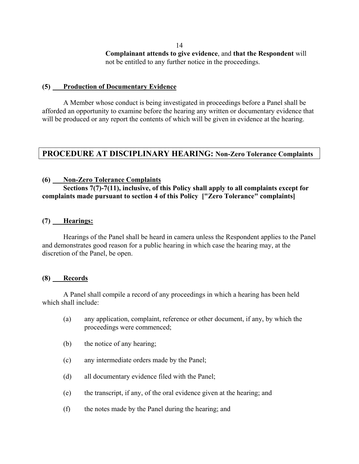**Complainant attends to give evidence**, and **that the Respondent** will not be entitled to any further notice in the proceedings.

#### **(5) Production of Documentary Evidence**

A Member whose conduct is being investigated in proceedings before a Panel shall be afforded an opportunity to examine before the hearing any written or documentary evidence that will be produced or any report the contents of which will be given in evidence at the hearing.

# **PROCEDURE AT DISCIPLINARY HEARING: Non-Zero Tolerance Complaints**

#### **(6) Non-Zero Tolerance Complaints**

## **Sections 7(7)-7(11), inclusive, of this Policy shall apply to all complaints except for complaints made pursuant to section 4 of this Policy ["Zero Tolerance" complaints]**

#### **(7) Hearings:**

Hearings of the Panel shall be heard in camera unless the Respondent applies to the Panel and demonstrates good reason for a public hearing in which case the hearing may, at the discretion of the Panel, be open.

#### **(8) Records**

A Panel shall compile a record of any proceedings in which a hearing has been held which shall include:

- (a) any application, complaint, reference or other document, if any, by which the proceedings were commenced;
- (b) the notice of any hearing;
- (c) any intermediate orders made by the Panel;
- (d) all documentary evidence filed with the Panel;
- (e) the transcript, if any, of the oral evidence given at the hearing; and
- (f) the notes made by the Panel during the hearing; and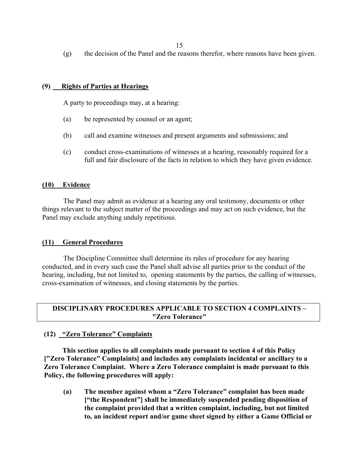(g) the decision of the Panel and the reasons therefor, where reasons have been given.

## **(9) Rights of Parties at Hearings**

A party to proceedings may, at a hearing:

- (a) be represented by counsel or an agent;
- (b) call and examine witnesses and present arguments and submissions; and
- (c) conduct cross-examinations of witnesses at a hearing, reasonably required for a full and fair disclosure of the facts in relation to which they have given evidence.

#### **(10) Evidence**

The Panel may admit as evidence at a hearing any oral testimony, documents or other things relevant to the subject matter of the proceedings and may act on such evidence, but the Panel may exclude anything unduly repetitious.

#### **(11) General Procedures**

The Discipline Committee shall determine its rules of procedure for any hearing conducted, and in every such case the Panel shall advise all parties prior to the conduct of the hearing, including, but not limited to, opening statements by the parties, the calling of witnesses, cross-examination of witnesses, and closing statements by the parties.

#### **DISCIPLINARY PROCEDURES APPLICABLE TO SECTION 4 COMPLAINTS – "Zero Tolerance"**

# **(12) "Zero Tolerance" Complaints**

 **This section applies to all complaints made pursuant to section 4 of this Policy ["Zero Tolerance" Complaints] and includes any complaints incidental or ancillary to a Zero Tolerance Complaint. Where a Zero Tolerance complaint is made pursuant to this Policy, the following procedures will apply:** 

**(a) The member against whom a "Zero Tolerance" complaint has been made ["the Respondent"] shall be immediately suspended pending disposition of the complaint provided that a written complaint, including, but not limited to, an incident report and/or game sheet signed by either a Game Official or**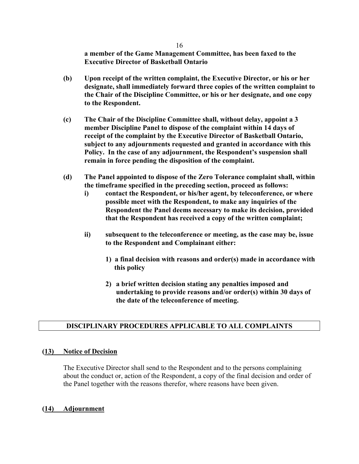**a member of the Game Management Committee, has been faxed to the Executive Director of Basketball Ontario** 

- **(b) Upon receipt of the written complaint, the Executive Director, or his or her designate, shall immediately forward three copies of the written complaint to the Chair of the Discipline Committee, or his or her designate, and one copy to the Respondent.**
- **(c) The Chair of the Discipline Committee shall, without delay, appoint a 3 member Discipline Panel to dispose of the complaint within 14 days of receipt of the complaint by the Executive Director of Basketball Ontario, subject to any adjournments requested and granted in accordance with this Policy. In the case of any adjournment, the Respondent's suspension shall remain in force pending the disposition of the complaint.**
- **(d) The Panel appointed to dispose of the Zero Tolerance complaint shall, within the timeframe specified in the preceding section, proceed as follows:** 
	- **i) contact the Respondent, or his/her agent, by teleconference, or where possible meet with the Respondent, to make any inquiries of the Respondent the Panel deems necessary to make its decision, provided that the Respondent has received a copy of the written complaint;**
	- **ii) subsequent to the teleconference or meeting, as the case may be, issue to the Respondent and Complainant either:** 
		- **1) a final decision with reasons and order(s) made in accordance with this policy**
		- **2) a brief written decision stating any penalties imposed and undertaking to provide reasons and/or order(s) within 30 days of the date of the teleconference of meeting.**

# **DISCIPLINARY PROCEDURES APPLICABLE TO ALL COMPLAINTS**

#### **(13) Notice of Decision**

The Executive Director shall send to the Respondent and to the persons complaining about the conduct or, action of the Respondent, a copy of the final decision and order of the Panel together with the reasons therefor, where reasons have been given.

#### **(14) Adjournment**